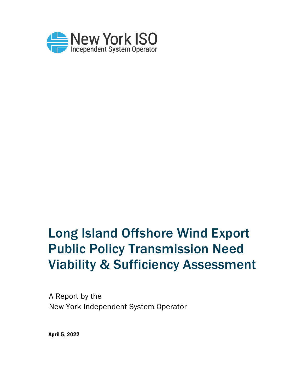

# Long Island Offshore Wind Export Public Policy Transmission Need Viability & Sufficiency Assessment

A Report by the New York Independent System Operator

April 5, 2022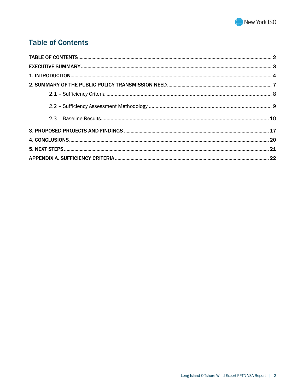

## <span id="page-1-0"></span>**Table of Contents**

<span id="page-1-1"></span>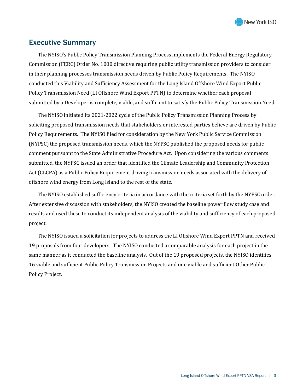

## Executive Summary

The NYISO's Public Policy Transmission Planning Process implements the Federal Energy Regulatory Commission (FERC) Order No. 1000 directive requiring public utility transmission providers to consider in their planning processes transmission needs driven by Public Policy Requirements. The NYISO conducted this Viability and Sufficiency Assessment for the Long Island Offshore Wind Export Public Policy Transmission Need (LI Offshore Wind Export PPTN) to determine whether each proposal submitted by a Developer is complete, viable, and sufficient to satisfy the Public Policy Transmission Need.

The NYISO initiated its 2021-2022 cycle of the Public Policy Transmission Planning Process by soliciting proposed transmission needs that stakeholders or interested parties believe are driven by Public Policy Requirements. The NYISO filed for consideration by the New York Public Service Commission (NYPSC) the proposed transmission needs, which the NYPSC published the proposed needs for public comment pursuant to the State Administrative Procedure Act. Upon considering the various comments submitted, the NYPSC issued an order that identified the Climate Leadership and Community Protection Act (CLCPA) as a Public Policy Requirement driving transmission needs associated with the delivery of offshore wind energy from Long Island to the rest of the state.

The NYISO established sufficiency criteria in accordance with the criteria set forth by the NYPSC order. After extensive discussion with stakeholders, the NYISO created the baseline power flow study case and results and used these to conduct its independent analysis of the viability and sufficiency of each proposed project.

The NYISO issued a solicitation for projects to address the LI Offshore Wind Export PPTN and received 19 proposals from four developers. The NYISO conducted a comparable analysis for each project in the same manner as it conducted the baseline analysis. Out of the 19 proposed projects, the NYISO identifies 16 viable and sufficient Public Policy Transmission Projects and one viable and sufficient Other Public Policy Project.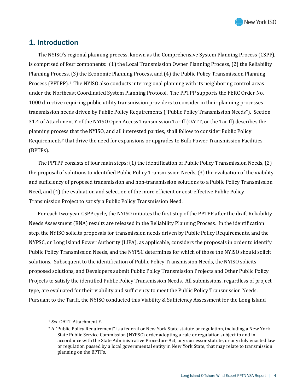

## <span id="page-3-0"></span>1. Introduction

The NYISO's regional planning process, known as the Comprehensive System Planning Process (CSPP), is comprised of four components: (1) the Local Transmission Owner Planning Process, (2) the Reliability Planning Process, (3) the Economic Planning Process, and (4) the Public Policy Transmission Planning Process (PPTPP).<sup>[1](#page-3-1)</sup> The NYISO also conducts interregional planning with its neighboring control areas under the Northeast Coordinated System Planning Protocol. The PPTPP supports the FERC Order No. 1000 directive requiring public utility transmission providers to consider in their planning processes transmission needs driven by Public Policy Requirements ("Public Policy Transmission Needs"). Section 31.4 of Attachment Y of the NYISO Open Access Transmission Tariff (OATT, or the Tariff) describes the planning process that the NYISO, and all interested parties, shall follow to consider Public Policy Requirements<sup>[2](#page-3-2)</sup> that drive the need for expansions or upgrades to Bulk Power Transmission Facilities (BPTFs).

The PPTPP consists of four main steps: (1) the identification of Public Policy Transmission Needs, (2) the proposal of solutions to identified Public Policy Transmission Needs, (3) the evaluation of the viability and sufficiency of proposed transmission and non-transmission solutions to a Public Policy Transmission Need, and (4) the evaluation and selection of the more efficient or cost-effective Public Policy Transmission Project to satisfy a Public Policy Transmission Need.

For each two-year CSPP cycle, the NYISO initiates the first step of the PPTPP after the draft Reliability Needs Assessment (RNA) results are released in the Reliability Planning Process. In the identification step, the NYISO solicits proposals for transmission needs driven by Public Policy Requirements, and the NYPSC, or Long Island Power Authority (LIPA), as applicable, considers the proposals in order to identify Public Policy Transmission Needs, and the NYPSC determines for which of those the NYISO should solicit solutions. Subsequent to the identification of Public Policy Transmission Needs, the NYISO solicits proposed solutions, and Developers submit Public Policy Transmission Projects and Other Public Policy Projects to satisfy the identified Public Policy Transmission Needs. All submissions, regardless of project type, are evaluated for their viability and sufficiency to meet the Public Policy Transmission Needs. Pursuant to the Tariff, the NYISO conducted this Viability & Sufficiency Assessment for the Long Island

<span id="page-3-1"></span><sup>1</sup> *See* OATT Attachment Y.

<span id="page-3-2"></span><sup>&</sup>lt;sup>2</sup> A "Public Policy Requirement" is a federal or New York State statute or regulation, including a New York State Public Service Commission (NYPSC) order adopting a rule or regulation subject to and in accordance with the State Administrative Procedure Act, any successor statute, or any duly enacted law or regulation passed by a local governmental entity in New York State, that may relate to transmission planning on the BPTFs.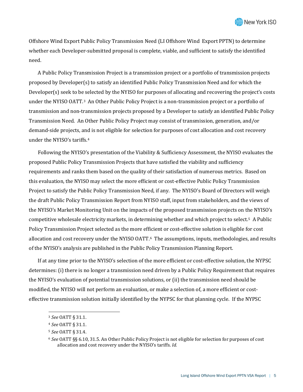Offshore Wind Export Public Policy Transmission Need (LI Offshore Wind Export PPTN) to determine whether each Developer-submitted proposal is complete, viable, and sufficient to satisfy the identified need.

A Public Policy Transmission Project is a transmission project or a portfolio of transmission projects proposed by Developer(s) to satisfy an identified Public Policy Transmission Need and for which the Developer(s) seek to be selected by the NYISO for purposes of allocating and recovering the project's costs under the NYISO OATT.[3](#page-4-0) An Other Public Policy Project is a non-transmission project or a portfolio of transmission and non-transmission projects proposed by a Developer to satisfy an identified Public Policy Transmission Need. An Other Public Policy Project may consist of transmission, generation, and/or demand-side projects, and is not eligible for selection for purposes of cost allocation and cost recovery under the NYISO's tariffs.[4](#page-4-1)

Following the NYISO's presentation of the Viability & Sufficiency Assessment, the NYISO evaluates the proposed Public Policy Transmission Projects that have satisfied the viability and sufficiency requirements and ranks them based on the quality of their satisfaction of numerous metrics. Based on this evaluation, the NYISO may select the more efficient or cost-effective Public Policy Transmission Project to satisfy the Public Policy Transmission Need, if any. The NYISO's Board of Directors will weigh the draft Public Policy Transmission Report from NYISO staff, input from stakeholders, and the views of the NYISO's Market Monitoring Unit on the impacts of the proposed transmission projects on the NYISO's competitive wholesale electricity markets, in determining whether and which project to select.[5](#page-4-2) A Public Policy Transmission Project selected as the more efficient or cost-effective solution is eligible for cost allocation and cost recovery under the NYISO OATT.<sup>[6](#page-4-3)</sup> The assumptions, inputs, methodologies, and results of the NYISO's analysis are published in the Public Policy Transmission Planning Report.

If at any time prior to the NYISO's selection of the more efficient or cost-effective solution, the NYPSC determines: (i) there is no longer a transmission need driven by a Public Policy Requirement that requires the NYISO's evaluation of potential transmission solutions, or (ii) the transmission need should be modified, the NYISO will not perform an evaluation, or make a selection of, a more efficient or costeffective transmission solution initially identified by the NYPSC for that planning cycle. If the NYPSC

<span id="page-4-0"></span><sup>3</sup> *See* OATT § 31.1.

<span id="page-4-1"></span><sup>4</sup> *See* OATT § 31.1.

<span id="page-4-2"></span><sup>5</sup> *See* OATT § 31.4.

<span id="page-4-3"></span><sup>6</sup> *See* OATT §§ 6.10, 31.5. An Other Public Policy Project is not eligible for selection for purposes of cost allocation and cost recovery under the NYISO's tariffs. *Id.*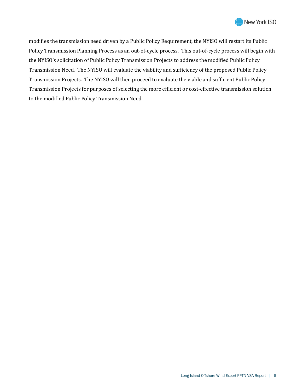

modifies the transmission need driven by a Public Policy Requirement, the NYISO will restart its Public Policy Transmission Planning Process as an out-of-cycle process. This out-of-cycle process will begin with the NYISO's solicitation of Public Policy Transmission Projects to address the modified Public Policy Transmission Need. The NYISO will evaluate the viability and sufficiency of the proposed Public Policy Transmission Projects. The NYISO will then proceed to evaluate the viable and sufficient Public Policy Transmission Projects for purposes of selecting the more efficient or cost-effective transmission solution to the modified Public Policy Transmission Need.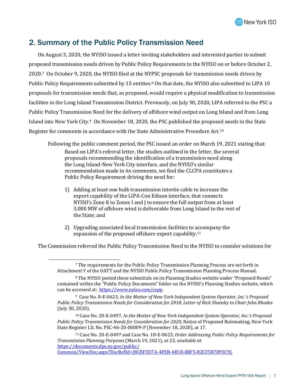

## <span id="page-6-0"></span>2. Summary of the Public Policy Transmission Need

On August 3, 2020, the NYISO issued a letter inviting stakeholders and interested parties to submit proposed transmission needs driven by Public Policy Requirements to the NYISO on or before October 2, 2020.[7](#page-6-1) On October 9, 2020, the NYISO filed at the NYPSC proposals for transmission needs driven by Public Policy Requirements submitted by 15 entities.[8](#page-6-2) On that date, the NYISO also submitted to LIPA 10 proposals for transmission needs that, as proposed, would require a physical modification to transmission facilities in the Long Island Transmission District. Previously, on July 30, 2020, LIPA referred to the PSC a Public Policy Transmission Need for the delivery of offshore wind output on Long Island and from Long Island into New York City.[9](#page-6-3) On November 18, 2020, the PSC published the proposed needs in the State Register for comments in accordance with the State Administrative Procedure Act.[10](#page-6-4)

Following the public comment period, the PSC issued an order on March 19, 2021 stating that:

Based on LIPA's referral letter, the studies outlined in the letter, the several proposals recommending the identification of a transmission need along the Long Island-New York City interface, and the NYISO's similar recommendation made in its comments, we find the CLCPA constitutes a Public Policy Requirement driving the need for:

- 1) Adding at least one bulk transmission intertie cable to increase the export capability of the LIPA-Con Edison interface, that connects NYISO's Zone K to Zones I and J to ensure the full output from at least 3,000 MW of offshore wind is deliverable from Long Island to the rest of the State; and
- 2) Upgrading associated local transmission facilities to [acc](#page-6-5)ompany the expansion of the proposed offshore export capability.11

<span id="page-6-2"></span><span id="page-6-1"></span>The Commission referred the Public Policy Transmission Need to the NYISO to consider solutions for

<sup>7</sup> The requirements for the Public Policy Transmission Planning Process are set forth in Attachment Y of the OATT and the NYISO Public Policy Transmission Planning Process Manual.

<sup>8</sup> The NYISO posted these submittals on its Planning Studies website under "Proposed Needs" contained within the "Public Policy Documents" folder on the NYISO's Planning Studies website, which can be accessed at: [https://www.nyiso.com/cspp.](https://www.nyiso.com/cspp)

<span id="page-6-3"></span><sup>9</sup> Case No. 8-E-0623, *In the Matter of New York Independent System Operator, Inc.'s Proposed Public Policy Transmission Needs for Consideration for 2018, Letter of Rick Shansky to Chair John Rhodes* (July 30, 2020).

<span id="page-6-4"></span><sup>10</sup> Case No. 20-E-0497, *In the Matter of New York Independent System Operator, Inc.'s Proposed Public Policy Transmission Needs for Consideration for 2020*, Notice of Proposed Rulemaking, New York State Register I.D. No. PSC-46-20-00009-P (November 18, 2020), at 17.

<span id="page-6-5"></span><sup>11</sup> Case No. 20-E-0497 and Case No. 18-E-0623, *Order Addressing Public Policy Requirements for Transmission Planning Purposes* (March 19, 2021), at 23, *available at*  [https://documents.dps.ny.gov/public/](https://documents.dps.ny.gov/public/Common/ViewDoc.aspx?DocRefId=%7b8C8F3D7A-4FEB-4B18-88F5-82CF587895C9%7d)

[Common/ViewDoc.aspx?DocRefId={8C8F3D7A-4FEB-4B18-88F5-82CF587895C9}.](https://documents.dps.ny.gov/public/Common/ViewDoc.aspx?DocRefId=%7b8C8F3D7A-4FEB-4B18-88F5-82CF587895C9%7d)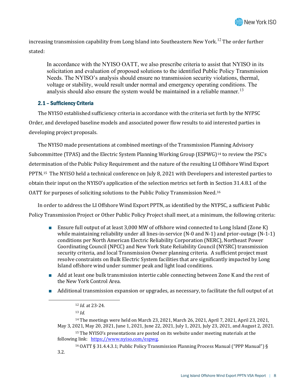

increasing transmission capability from Long Island into Southeastern New York.<sup>[12](#page-7-1)</sup> The order further stated:

In accordance with the NYISO OATT, we also prescribe criteria to assist that NYISO in its solicitation and evaluation of proposed solutions to the identified Public Policy Transmission Needs. The NYISO's analysis should ensure no transmission security violations, thermal, voltage or stability, would result under normal and emergency operating conditions. The analysis should also ensure the system would be maintained in a reliable manner.<sup>[13](#page-7-2)</sup>

#### <span id="page-7-0"></span>2.1 – Sufficiency Criteria

The NYISO established sufficiency criteria in accordance with the criteria set forth by the NYPSC Order, and developed baseline models and associated power flow results to aid interested parties in developing project proposals.

The NYISO made presentations at combined meetings of the Transmission Planning Advisory Subcommittee (TPAS) and the Electric System Planning Working Group (ESPWG)[14](#page-7-3) to review the PSC's determination of the Public Policy Requirement and the nature of the resulting LI Offshore Wind Export PPTN.[15](#page-7-4) The NYISO held a technical conference on July 8, 2021 with Developers and interested parties to obtain their input on the NYISO's application of the selection metrics set forth in Section 31.4.8.1 of the OATT for purposes of soliciting solutions to the Public Policy Transmission Need.[16](#page-7-5)

In order to address the LI Offshore Wind Export PPTN, as identified by the NYPSC, a sufficient Public Policy Transmission Project or Other Public Policy Project shall meet, at a minimum, the following criteria:

- Ensure full output of at least 3,000 MW of offshore wind connected to Long Island (Zone K) while maintaining reliability under all lines-in-service (N-0 and N-1) and prior-outage (N-1-1) conditions per North American Electric Reliability Corporation (NERC), Northeast Power Coordinating Council (NPCC) and New York State Reliability Council (NYSRC) transmission security criteria, and local Transmission Owner planning criteria. A sufficient project must resolve constraints on Bulk Electric System facilities that are significantly impacted by Long Island offshore wind under summer peak and light load conditions.
- Add at least one bulk transmission intertie cable connecting between Zone K and the rest of the New York Control Area.
- <span id="page-7-3"></span><span id="page-7-2"></span><span id="page-7-1"></span>■ Additional transmission expansion or upgrades, as necessary, to facilitate the full output of at

<sup>14</sup> The meetings were held on March 23, 2021, March 26, 2021, April 7, 2021, April 23, 2021, May 3, 2021, May 20, 2021, June 1, 2021, June 22, 2021, July 1, 2021, July 23, 2021, and August 2, 2021.

<span id="page-7-4"></span><sup>15</sup> The NYISO's presentations are posted on its website under meeting materials at the following link: [https://www.nyiso.com/espwg.](https://www.nyiso.com/espwg)

<span id="page-7-5"></span><sup>16</sup> OATT § 31.4.4.3.1; Public Policy Transmission Planning Process Manual ("PPP Manual") § 3.2.

<sup>12</sup> *Id.* at 23-24.

<sup>13</sup> *Id.*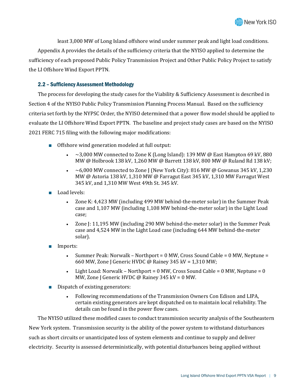least 3,000 MW of Long Island offshore wind under summer peak and light load conditions. Appendix A provides the details of the sufficiency criteria that the NYISO applied to determine the sufficiency of each proposed Public Policy Transmission Project and Other Public Policy Project to satisfy the LI Offshore Wind Export PPTN.

#### <span id="page-8-0"></span>2.2 – Sufficiency Assessment Methodology

The process for developing the study cases for the Viability & Sufficiency Assessment is described in Section 4 of the NYISO Public Policy Transmission Planning Process Manual. Based on the sufficiency criteria set forth by the NYPSC Order, the NYISO determined that a power flow model should be applied to evaluate the LI Offshore Wind Export PPTN. The baseline and project study cases are based on the NYISO 2021 FERC 715 filing with the following major modifications:

- Offshore wind generation modeled at full output:
	- $\sim$  3,000 MW connected to Zone K (Long Island): 139 MW @ East Hampton 69 kV, 880 MW @ Holbrook 138 kV, 1,260 MW @ Barrett 138 kV, 800 MW @ Ruland Rd 138 kV;
	- $\sim$  6,000 MW connected to Zone J (New York City): 816 MW @ Gowanus 345 kV, 1,230 MW @ Astoria 138 kV, 1,310 MW @ Farragut East 345 kV, 1,310 MW Farragut West 345 kV, and 1,310 MW West 49th St. 345 kV.
- Load levels:
	- Zone K: 4,423 MW (including 499 MW behind-the-meter solar) in the Summer Peak case and 1,107 MW (including 1,108 MW behind-the-meter solar) in the Light Load case;
	- Zone J: 11,195 MW (including 290 MW behind-the-meter solar) in the Summer Peak case and 4,524 MW in the Light Load case (including 644 MW behind-the-meter solar).
- Imports:
	- Summer Peak: Norwalk Northport = 0 MW, Cross Sound Cable = 0 MW, Neptune = 660 MW, Zone J Generic HVDC @ Rainey 345 kV = 1,310 MW;
	- Light Load: Norwalk Northport = 0 MW, Cross Sound Cable = 0 MW, Neptune = 0 MW, Zone J Generic HVDC @ Rainey 345 kV = 0 MW.
- Dispatch of existing generators:
	- Following recommendations of the Transmission Owners Con Edison and LIPA, certain existing generators are kept dispatched on to maintain local reliability. The details can be found in the power flow cases.

The NYISO utilized these modified cases to conduct transmission security analysis of the Southeastern New York system. Transmission security is the ability of the power system to withstand disturbances such as short circuits or unanticipated loss of system elements and continue to supply and deliver electricity. Security is assessed deterministically, with potential disturbances being applied without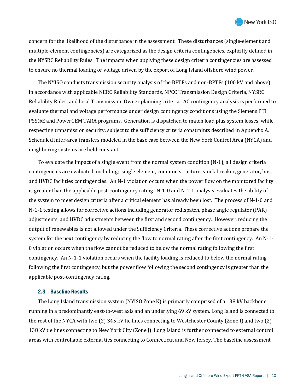concern for the likelihood of the disturbance in the assessment. These disturbances (single-element and multiple-element contingencies) are categorized as the design criteria contingencies, explicitly defined in the NYSRC Reliability Rules. The impacts when applying these design criteria contingencies are assessed to ensure no thermal loading or voltage driven by the export of Long Island offshore wind power.

The NYISO conducts transmission security analysis of the BPTFs and non-BPTFs (100 kV and above) in accordance with applicable NERC Reliability Standards, NPCC Transmission Design Criteria, NYSRC Reliability Rules, and local Transmission Owner planning criteria. AC contingency analysis is performed to evaluate thermal and voltage performance under design contingency conditions using the Siemens PTI PSS®E and PowerGEM TARA programs. Generation is dispatched to match load plus system losses, while respecting transmission security, subject to the sufficiency criteria constraints described in Appendix A. Scheduled inter-area transfers modeled in the base case between the New York Control Area (NYCA) and neighboring systems are held constant.

To evaluate the impact of a single event from the normal system condition (N-1), all design criteria contingencies are evaluated, including; single element, common structure, stuck breaker, generator, bus, and HVDC facilities contingencies. An N-1 violation occurs when the power flow on the monitored facility is greater than the applicable post-contingency rating. N-1-0 and N-1-1 analysis evaluates the ability of the system to meet design criteria after a critical element has already been lost. The process of N-1-0 and N-1-1 testing allows for corrective actions including generator redispatch, phase angle regulator (PAR) adjustments, and HVDC adjustments between the first and second contingency. However, reducing the output of renewables is not allowed under the Sufficiency Criteria. These corrective actions prepare the system for the next contingency by reducing the flow to normal rating after the first contingency. An N-1- 0 violation occurs when the flow cannot be reduced to below the normal rating following the first contingency. An N-1-1 violation occurs when the facility loading is reduced to below the normal rating following the first contingency, but the power flow following the second contingency is greater than the applicable post-contingency rating.

#### <span id="page-9-0"></span>2.3 – Baseline Results

The Long Island transmission system (NYISO Zone K) is primarily comprised of a 138 kV backbone running in a predominantly east-to-west axis and an underlying 69 kV system. Long Island is connected to the rest of the NYCA with two (2) 345 kV tie lines connecting to Westchester County (Zone I) and two (2) 138 kV tie lines connecting to New York City (Zone J). Long Island is further connected to external control areas with controllable external ties connecting to Connecticut and New Jersey. The baseline assessment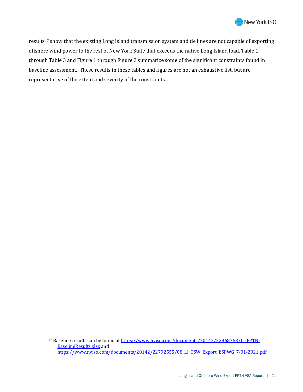

results<sup>[17](#page-10-0)</sup> show that the existing Long Island transmission system and tie lines are not capable of exporting offshore wind power to the rest of New York State that exceeds the native Long Island load. Table 1 through Table 3 and Figure 1 through Figure 3 summarize some of the significant constraints found in baseline assessment. These results in these tables and figures are not an exhaustive list, but are representative of the extent and severity of the constraints.

<span id="page-10-0"></span><sup>&</sup>lt;sup>17</sup> Baseline results can be found a[t https://www.nyiso.com/documents/20142/22968753/LI-PPTN-](https://www.nyiso.com/documents/20142/22968753/LI-PPTN-BaselineResults.xlsx)[BaselineResults.xlsx](https://www.nyiso.com/documents/20142/22968753/LI-PPTN-BaselineResults.xlsx) and [https://www.nyiso.com/documents/20142/22792555/08\\_LI\\_OSW\\_Export\\_ESPWG\\_7-01-2021.pdf](https://www.nyiso.com/documents/20142/22792555/08_LI_OSW_Export_ESPWG_7-01-2021.pdf)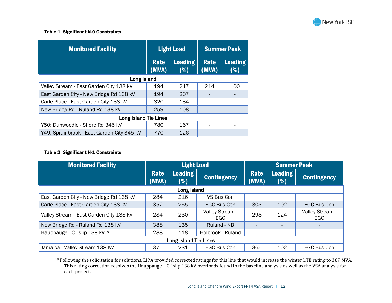#### <span id="page-11-0"></span>Table 1: Significant N-0 Constraints

| <b>Monitored Facility</b>                  |                      | <b>Light Load</b>      | <b>Summer Peak</b> |                       |  |
|--------------------------------------------|----------------------|------------------------|--------------------|-----------------------|--|
|                                            | <b>Rate</b><br>(MVA) | <b>Loading</b><br>( %) |                    | <b>Loading</b><br>(%) |  |
| Long Island                                |                      |                        |                    |                       |  |
| Valley Stream - East Garden City 138 kV    | 194                  | 217                    | 214                | 100                   |  |
| East Garden City - New Bridge Rd 138 kV    | 194                  | 207                    |                    |                       |  |
| Carle Place - East Garden City 138 kV      | 320                  | 184                    |                    |                       |  |
| New Bridge Rd - Ruland Rd 138 kV           | 259                  | 108                    |                    |                       |  |
| <b>Long Island Tie Lines</b>               |                      |                        |                    |                       |  |
| Y50: Dunwoodie - Shore Rd 345 kV           | 780                  | 167                    |                    |                       |  |
| Y49: Sprainbrook - East Garden City 345 kV | 770                  | 126                    |                    |                       |  |

#### Table 2: Significant N-1 Constraints

| <b>Monitored Facility</b>                 | <b>Light Load</b>    |                       |                                                 | <b>Summer Peak</b>       |                       |                        |
|-------------------------------------------|----------------------|-----------------------|-------------------------------------------------|--------------------------|-----------------------|------------------------|
|                                           | <b>Rate</b><br>(MVA) | <b>Loading</b><br>(%) | <b>Contingency</b>                              | Rate<br>(MVA)            | <b>Loading</b><br>(%) | <b>Contingency</b>     |
|                                           |                      | Long Island           |                                                 |                          |                       |                        |
| East Garden City - New Bridge Rd 138 kV   | 284                  | 216                   | VS Bus Con                                      |                          |                       |                        |
| Carle Place - East Garden City 138 kV     | 352                  | 255                   | <b>EGC Bus Con</b>                              | 303                      | 102                   | EGC Bus Con            |
| Valley Stream - East Garden City 138 kV   | 284                  | 230                   | Valley Stream -<br>EGC.                         | 298                      | 124                   | Valley Stream -<br>EGC |
| New Bridge Rd - Ruland Rd 138 kV          | 388                  | 135                   | Ruland - NB                                     |                          |                       |                        |
| Hauppauge - C. Islip 138 kV <sup>18</sup> | 288                  | 118                   | Holbrook - Ruland                               | $\overline{\phantom{a}}$ |                       |                        |
| Long Island Tie Lines                     |                      |                       |                                                 |                          |                       |                        |
| Jamaica - Valley Stream 138 KV            | 375                  | 231                   | 365<br><b>EGC Bus Con</b><br>102<br>EGC Bus Con |                          |                       |                        |

 $^{18}$  Following the solicitation for solutions, LIPA provided corrected ratings for this line that would increase the winter LTE rating to 387 MVA. This rating correction resolves the Hauppauge – C. Islip 138 kV overloads found in the baseline analysis as well as the VSA analysis for each project.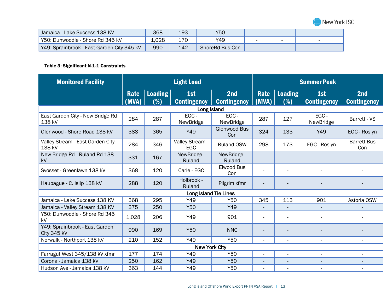

| Jamaica - Lake Success 138 KV              | 368   | 193 | Y50             |  |  |
|--------------------------------------------|-------|-----|-----------------|--|--|
| Y50: Dunwoodie - Shore Rd 345 kV           | ⊥.028 |     | Y49             |  |  |
| Y49: Sprainbrook - East Garden City 345 kV | 990   | 142 | ShoreRd Bus Con |  |  |

#### Table 3: Significant N-1-1 Constraints

| <b>Monitored Facility</b>                     | <b>Light Load</b> |                |                           | <b>Summer Peak</b>         |                          |                          |                           |                           |
|-----------------------------------------------|-------------------|----------------|---------------------------|----------------------------|--------------------------|--------------------------|---------------------------|---------------------------|
|                                               | Rate<br>(MVA)     | Loading<br>(%) | 1st<br><b>Contingency</b> | 2nd<br><b>Contingency</b>  | Rate<br>(MVA)            | Loading<br>(%)           | 1st<br><b>Contingency</b> | 2nd<br><b>Contingency</b> |
|                                               |                   |                | Long Island               |                            |                          |                          |                           |                           |
| East Garden City - New Bridge Rd<br>138 kV    | 284               | 287            | EGC-<br>NewBridge         | EGC-<br>NewBridge          | 287                      | 127                      | EGC-<br>NewBridge         | Barrett - VS              |
| Glenwood - Shore Road 138 kV                  | 388               | 365            | Y49                       | <b>Glenwood Bus</b><br>Con | 324                      | 133                      | Y49                       | EGC - Roslyn              |
| Valley Stream - East Garden City<br>138 kV    | 284               | 346            | Valley Stream -<br>EGC    | <b>Ruland OSW</b>          | 298                      | 173                      | EGC - Roslyn              | <b>Barrett Bus</b><br>Con |
| New Bridge Rd - Ruland Rd 138<br><b>kV</b>    | 331               | 167            | NewBridge -<br>Ruland     | NewBridge -<br>Ruland      |                          |                          |                           |                           |
| Syosset - Greenlawn 138 kV                    | 368               | 120            | Carle - EGC               | Elwood Bus<br>Con          |                          |                          |                           |                           |
| Haupague - C. Islip 138 kV                    | 288               | 120            | Holbrook -<br>Ruland      | Pilgrim xfmr               |                          |                          |                           |                           |
|                                               |                   |                | Long Island Tie Lines     |                            |                          |                          |                           |                           |
| Jamaica - Lake Success 138 KV                 | 368               | 295            | Y49                       | <b>Y50</b>                 | 345                      | 113                      | 901                       | Astoria OSW               |
| Jamaica - Valley Stream 138 KV                | 375               | 250            | <b>Y50</b>                | Y49                        |                          |                          |                           |                           |
| Y50: Dunwoodie - Shore Rd 345<br>kV           | 1,028             | 206            | Y49                       | 901                        |                          | $\overline{\phantom{a}}$ |                           |                           |
| Y49: Sprainbrook - East Garden<br>City 345 kV | 990               | 169            | <b>Y50</b>                | <b>NNC</b>                 |                          |                          |                           |                           |
| Norwalk - Northport 138 kV                    | 210               | 152            | Y49                       | <b>Y50</b>                 | $\blacksquare$           | $\overline{\phantom{a}}$ | $\overline{\phantom{a}}$  | $\overline{\phantom{a}}$  |
| <b>New York City</b>                          |                   |                |                           |                            |                          |                          |                           |                           |
| Farragut West 345/138 kV xfmr                 | 177               | 174            | Y49                       | Y50                        | $\overline{\phantom{a}}$ | $\overline{\phantom{a}}$ |                           |                           |
| Corona - Jamaica 138 kV                       | 250               | 162            | Y49                       | <b>Y50</b>                 | $\overline{\phantom{a}}$ | $\overline{\phantom{a}}$ | $\overline{\phantom{a}}$  | $\overline{\phantom{a}}$  |
| Hudson Ave - Jamaica 138 kV                   | 363               | 144            | Y49                       | Y50                        |                          |                          |                           |                           |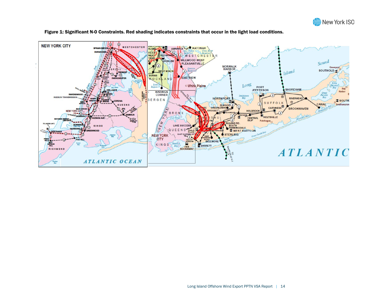



Figure 1: Significant N-0 Constraints. Red shading indicates constraints that occur in the light load conditions.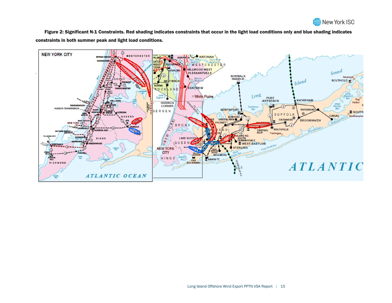

Figure 2: Significant N-1 Constraints. Red shading indicates constraints that occur in the light load conditions only and blue shading indicates constraints in both summer peak and light load conditions.

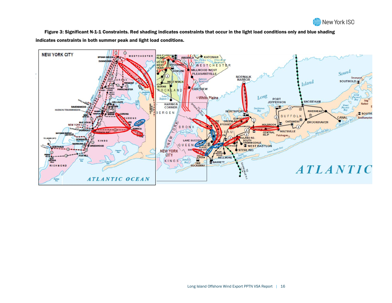

Figure 3: Significant N-1-1 Constraints. Red shading indicates constraints that occur in the light load conditions only and blue shading indicates constraints in both summer peak and light load conditions.

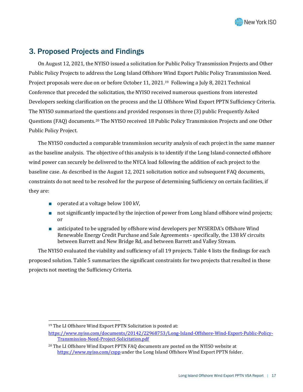

## <span id="page-16-0"></span>3. Proposed Projects and Findings

On August 12, 2021, the NYISO issued a solicitation for Public Policy Transmission Projects and Other Public Policy Projects to address the Long Island Offshore Wind Export Public Policy Transmission Need. Project proposals were due on or before October 11, 2021[.19](#page-16-1) Following a July 8, 2021 Technical Conference that preceded the solicitation, the NYISO received numerous questions from interested Developers seeking clarification on the process and the LI Offshore Wind Export PPTN Sufficiency Criteria. The NYISO summarized the questions and provided responses in three (3) public Frequently Asked Questions (FAQ) documents.[20](#page-16-2) The NYISO received 18 Public Policy Transmission Projects and one Other Public Policy Project.

The NYISO conducted a comparable transmission security analysis of each project in the same manner as the baseline analysis. The objective of this analysis is to identify if the Long Island-connected offshore wind power can securely be delivered to the NYCA load following the addition of each project to the baseline case. As described in the August 12, 2021 solicitation notice and subsequent FAQ documents, constraints do not need to be resolved for the purpose of determining Sufficiency on certain facilities, if they are:

- operated at a voltage below 100 kV,
- not significantly impacted by the injection of power from Long Island offshore wind projects; or
- anticipated to be upgraded by offshore wind developers per NYSERDA's Offshore Wind Renewable Energy Credit Purchase and Sale Agreements - specifically, the 138 kV circuits between Barrett and New Bridge Rd, and between Barrett and Valley Stream.

The NYISO evaluated the viability and sufficiency of all 19 projects. Table 4 lists the findings for each proposed solution. Table 5 summarizes the significant constraints for two projects that resulted in those projects not meeting the Sufficiency Criteria.

<span id="page-16-1"></span><sup>19</sup> The LI Offshore Wind Export PPTN Solicitation is posted at:

[https://www.nyiso.com/documents/20142/22968753/Long-Island-Offshore-Wind-Export-Public-Policy-](https://www.nyiso.com/documents/20142/22968753/Long-Island-Offshore-Wind-Export-Public-Policy-Transmission-Need-Project-Solicitation.pdf)[Transmission-Need-Project-Solicitation.pdf](https://www.nyiso.com/documents/20142/22968753/Long-Island-Offshore-Wind-Export-Public-Policy-Transmission-Need-Project-Solicitation.pdf)

<span id="page-16-2"></span><sup>&</sup>lt;sup>20</sup> The LI Offshore Wind Export PPTN FAO documents are posted on the NYISO website at <https://www.nyiso.com/cspp> under the Long Island Offshore Wind Export PPTN folder.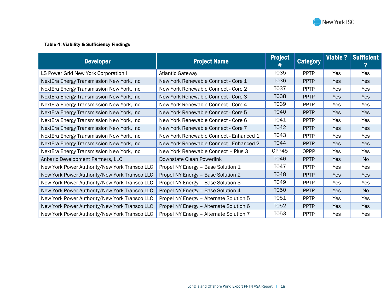

#### Table 4: Viability & Sufficiency Findings

| <b>Developer</b>                              | <b>Project Name</b>                     | <b>Project</b> | <b>Category</b> | <b>Viable ?</b> | <b>Sufficient</b> |
|-----------------------------------------------|-----------------------------------------|----------------|-----------------|-----------------|-------------------|
| LS Power Grid New York Corporation I          | <b>Atlantic Gateway</b>                 | T035           | <b>PPTP</b>     | <b>Yes</b>      | Yes               |
| NextEra Energy Transmission New York, Inc     | New York Renewable Connect - Core 1     | T036           | <b>PPTP</b>     | Yes             | Yes               |
| NextEra Energy Transmission New York, Inc     | New York Renewable Connect - Core 2     | T037           | <b>PPTP</b>     | <b>Yes</b>      | Yes               |
| NextEra Energy Transmission New York, Inc.    | New York Renewable Connect - Core 3     | T038           | <b>PPTP</b>     | <b>Yes</b>      | <b>Yes</b>        |
| NextEra Energy Transmission New York, Inc     | New York Renewable Connect - Core 4     | T039           | <b>PPTP</b>     | Yes             | Yes               |
| NextEra Energy Transmission New York, Inc.    | New York Renewable Connect - Core 5     | T040           | <b>PPTP</b>     | <b>Yes</b>      | Yes               |
| NextEra Energy Transmission New York, Inc     | New York Renewable Connect - Core 6     | T041           | <b>PPTP</b>     | <b>Yes</b>      | Yes               |
| NextEra Energy Transmission New York, Inc.    | New York Renewable Connect - Core 7     | T042           | <b>PPTP</b>     | <b>Yes</b>      | Yes               |
| NextEra Energy Transmission New York, Inc     | New York Renewable Connect - Enhanced 1 | T043           | <b>PPTP</b>     | Yes             | Yes               |
| NextEra Energy Transmission New York, Inc     | New York Renewable Connect - Enhanced 2 | T044           | <b>PPTP</b>     | <b>Yes</b>      | <b>Yes</b>        |
| NextEra Energy Transmission New York, Inc     | New York Renewable Connect - Plus 3     | OPP45          | <b>OPPP</b>     | Yes             | Yes               |
| Anbaric Development Partners, LLC             | Downstate Clean Powerlink               | T046           | <b>PPTP</b>     | <b>Yes</b>      | <b>No</b>         |
| New York Power Authority/New York Transco LLC | Propel NY Energy - Base Solution 1      | T047           | <b>PPTP</b>     | Yes             | Yes               |
| New York Power Authority/New York Transco LLC | Propel NY Energy - Base Solution 2      | T048           | <b>PPTP</b>     | Yes             | Yes               |
| New York Power Authority/New York Transco LLC | Propel NY Energy - Base Solution 3      | T049           | <b>PPTP</b>     | Yes             | Yes               |
| New York Power Authority/New York Transco LLC | Propel NY Energy - Base Solution 4      | T050           | <b>PPTP</b>     | <b>Yes</b>      | N <sub>0</sub>    |
| New York Power Authority/New York Transco LLC | Propel NY Energy - Alternate Solution 5 | T051           | <b>PPTP</b>     | <b>Yes</b>      | Yes               |
| New York Power Authority/New York Transco LLC | Propel NY Energy - Alternate Solution 6 | T052           | <b>PPTP</b>     | <b>Yes</b>      | <b>Yes</b>        |
| New York Power Authority/New York Transco LLC | Propel NY Energy - Alternate Solution 7 | T053           | <b>PPTP</b>     | Yes             | Yes               |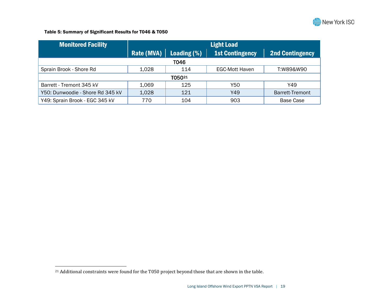<span id="page-18-0"></span>

#### Table 5: Summary of Significant Results for T046 & T050

| <b>Monitored Facility</b>        | <b>Light Load</b> |             |                        |                        |  |  |  |  |
|----------------------------------|-------------------|-------------|------------------------|------------------------|--|--|--|--|
|                                  | Rate (MVA) $ $    | Loading (%) | <b>1st Contingency</b> | <b>2nd Contingency</b> |  |  |  |  |
|                                  | <b>T046</b>       |             |                        |                        |  |  |  |  |
| Sprain Brook - Shore Rd          | 1,028             | 114         | <b>EGC-Mott Haven</b>  | T:W89&W90              |  |  |  |  |
| T05021                           |                   |             |                        |                        |  |  |  |  |
| Barrett - Tremont 345 kV         | 1,069             | 125         | Y50                    | Y49                    |  |  |  |  |
| Y50: Dunwoodie - Shore Rd 345 kV | 1,028             | 121         | Y49                    | <b>Barrett-Tremont</b> |  |  |  |  |
| Y49: Sprain Brook - EGC 345 kV   | 770               | 104         | 903                    | <b>Base Case</b>       |  |  |  |  |

<sup>&</sup>lt;sup>21</sup> Additional constraints were found for the T050 project beyond those that are shown in the table.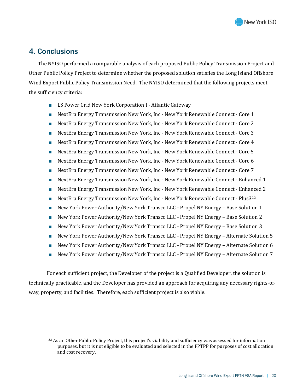

## <span id="page-19-0"></span>4. Conclusions

The NYISO performed a comparable analysis of each proposed Public Policy Transmission Project and Other Public Policy Project to determine whether the proposed solution satisfies the Long Island Offshore Wind Export Public Policy Transmission Need. The NYISO determined that the following projects meet the sufficiency criteria:

- LS Power Grid New York Corporation I Atlantic Gateway
- NextEra Energy Transmission New York, Inc New York Renewable Connect Core 1
- NextEra Energy Transmission New York, Inc New York Renewable Connect Core 2
- NextEra Energy Transmission New York, Inc New York Renewable Connect Core 3
- NextEra Energy Transmission New York, Inc New York Renewable Connect Core 4
- NextEra Energy Transmission New York, Inc New York Renewable Connect Core 5
- NextEra Energy Transmission New York, Inc New York Renewable Connect Core 6
- NextEra Energy Transmission New York, Inc New York Renewable Connect Core 7
- NextEra Energy Transmission New York, Inc New York Renewable Connect Enhanced 1
- NextEra Energy Transmission New York, Inc New York Renewable Connect Enhanced 2
- NextEra Energy Transmission New York, Inc New York Renewable Connect Plus3<sup>[22](#page-19-1)</sup>
- New York Power Authority/New York Transco LLC Propel NY Energy Base Solution 1
- New York Power Authority/New York Transco LLC Propel NY Energy Base Solution 2
- New York Power Authority/New York Transco LLC Propel NY Energy Base Solution 3
- New York Power Authority/New York Transco LLC Propel NY Energy Alternate Solution 5
- New York Power Authority/New York Transco LLC Propel NY Energy Alternate Solution 6
- New York Power Authority/New York Transco LLC Propel NY Energy Alternate Solution 7

For each sufficient project, the Developer of the project is a Qualified Developer, the solution is technically practicable, and the Developer has provided an approach for acquiring any necessary rights-ofway, property, and facilities. Therefore, each sufficient project is also viable.

<span id="page-19-1"></span><sup>&</sup>lt;sup>22</sup> As an Other Public Policy Project, this project's viability and sufficiency was assessed for information purposes, but it is not eligible to be evaluated and selected in the PPTPP for purposes of cost allocation and cost recovery.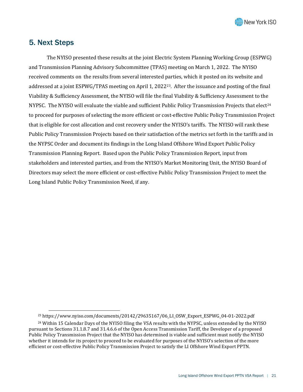

## <span id="page-20-0"></span>5. Next Steps

The NYISO presented these results at the joint Electric System Planning Working Group (ESPWG) and Transmission Planning Advisory Subcommittee (TPAS) meeting on March 1, 2022. The NYISO received comments on the results from several interested parties, which it posted on its website and addressed at a joint ESPWG/TPAS meeting on April 1, 2022[23](#page-20-1). After the issuance and posting of the final Viability & Sufficiency Assessment, the NYISO will file the final Viability & Sufficiency Assessment to the NYPSC. The NYISO will evaluate the viable and sufficient Public Policy Transmission Projects that elect<sup>24</sup> to proceed for purposes of selecting the more efficient or cost-effective Public Policy Transmission Project that is eligible for cost allocation and cost recovery under the NYISO's tariffs. The NYISO will rank these Public Policy Transmission Projects based on their satisfaction of the metrics set forth in the tariffs and in the NYPSC Order and document its findings in the Long Island Offshore Wind Export Public Policy Transmission Planning Report. Based upon the Public Policy Transmission Report, input from stakeholders and interested parties, and from the NYISO's Market Monitoring Unit, the NYISO Board of Directors may select the more efficient or cost-effective Public Policy Transmission Project to meet the Long Island Public Policy Transmission Need, if any.

<sup>23</sup> https://www.nyiso.com/documents/20142/29635167/06\_LI\_OSW\_Export\_ESPWG\_04-01-2022.pdf

<span id="page-20-2"></span><span id="page-20-1"></span><sup>&</sup>lt;sup>24</sup> Within 15 Calendar Days of the NYISO filing the VSA results with the NYPSC, unless extended by the NYISO pursuant to Sections 31.1.8.7 and 31.4.6.6 of the Open Access Transmission Tariff, the Developer of a proposed Public Policy Transmission Project that the NYISO has determined is viable and sufficient must notify the NYISO whether it intends for its project to proceed to be evaluated for purposes of the NYISO's selection of the more efficient or cost-effective Public Policy Transmission Project to satisfy the LI Offshore Wind Export PPTN.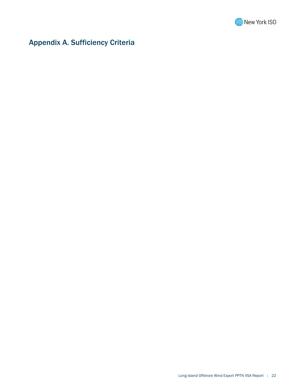

## <span id="page-21-0"></span>Appendix A. Sufficiency Criteria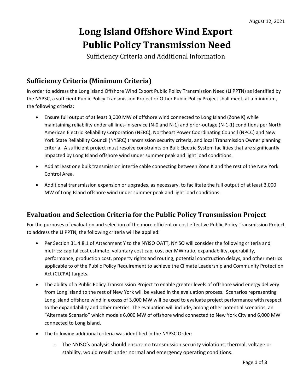## **Long Island Offshore Wind Export Public Policy Transmission Need**

Sufficiency Criteria and Additional Information

## **Sufficiency Criteria (Minimum Criteria)**

In order to address the Long Island Offshore Wind Export Public Policy Transmission Need (LI PPTN) as identified by the NYPSC, a sufficient Public Policy Transmission Project or Other Public Policy Project shall meet, at a minimum, the following criteria:

- Ensure full output of at least 3,000 MW of offshore wind connected to Long Island (Zone K) while maintaining reliability under all lines-in-service (N-0 and N-1) and prior-outage (N-1-1) conditions per North American Electric Reliability Corporation (NERC), Northeast Power Coordinating Council (NPCC) and New York State Reliability Council (NYSRC) transmission security criteria, and local Transmission Owner planning criteria. A sufficient project must resolve constraints on Bulk Electric System facilities that are significantly impacted by Long Island offshore wind under summer peak and light load conditions.
- Add at least one bulk transmission intertie cable connecting between Zone K and the rest of the New York Control Area.
- Additional transmission expansion or upgrades, as necessary, to facilitate the full output of at least 3,000 MW of Long Island offshore wind under summer peak and light load conditions.

## **Evaluation and Selection Criteria for the Public Policy Transmission Project**

For the purposes of evaluation and selection of the more efficient or cost effective Public Policy Transmission Project to address the LI PPTN, the following criteria will be applied:

- Per Section 31.4.8.1 of Attachment Y to the NYISO OATT, NYISO will consider the following criteria and metrics: capital cost estimate, voluntary cost cap, cost per MW ratio, expandability, operability, performance, production cost, property rights and routing, potential construction delays, and other metrics applicable to of the Public Policy Requirement to achieve the Climate Leadership and Community Protection Act (CLCPA) targets.
- The ability of a Public Policy Transmission Project to enable greater levels of offshore wind energy delivery from Long Island to the rest of New York will be valued in the evaluation process. Scenarios representing Long Island offshore wind in excess of 3,000 MW will be used to evaluate project performance with respect to the expandability and other metrics. The evaluation will include, among other potential scenarios, an "Alternate Scenario" which models 6,000 MW of offshore wind connected to New York City and 6,000 MW connected to Long Island.
- The following additional criteria was identified in the NYPSC Order:
	- $\circ$  The NYISO's analysis should ensure no transmission security violations, thermal, voltage or stability, would result under normal and emergency operating conditions.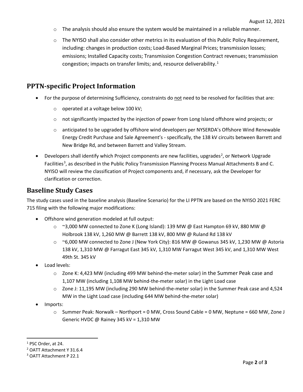- $\circ$  The analysis should also ensure the system would be maintained in a reliable manner.
- $\circ$  The NYISO shall also consider other metrics in its evaluation of this Public Policy Requirement, including: changes in production costs; Load-Based Marginal Prices; transmission losses; emissions; Installed Capacity costs; Transmission Congestion Contract revenues; transmission congestion; impacts on transfer limits; and, resource deliverability. $1$

### **PPTN-specific Project Information**

- For the purpose of determining Sufficiency, constraints do not need to be resolved for facilities that are:
	- o operated at a voltage below 100 kV;
	- o not significantly impacted by the injection of power from Long Island offshore wind projects; or
	- $\circ$  anticipated to be upgraded by offshore wind developers per NYSERDA's Offshore Wind Renewable Energy Credit Purchase and Sale Agreement's - specifically, the 138 kV circuits between Barrett and New Bridge Rd, and between Barrett and Valley Stream.
- Developers shall identify which Project components are new facilities, upgrades<sup>[2](#page-23-1)</sup>, or Network Upgrade Facilities<sup>[3](#page-23-2)</sup>, as described in the Public Policy Transmission Planning Process Manual Attachments B and C. NYISO will review the classification of Project components and, if necessary, ask the Developer for clarification or correction.

### **Baseline Study Cases**

The study cases used in the baseline analysis (Baseline Scenario) for the LI PPTN are based on the NYISO 2021 FERC 715 filing with the following major modifications:

- Offshore wind generation modeled at full output:
	- $\degree$  ~3,000 MW connected to Zone K (Long Island): 139 MW @ East Hampton 69 kV, 880 MW @ Holbrook 138 kV, 1,260 MW @ Barrett 138 kV, 800 MW @ Ruland Rd 138 kV
	- $\circ$  ~6,000 MW connected to Zone J (New York City): 816 MW @ Gowanus 345 kV, 1,230 MW @ Astoria 138 kV, 1,310 MW @ Farragut East 345 kV, 1,310 MW Farragut West 345 kV, and 1,310 MW West 49th St. 345 kV
- Load levels:
	- $\circ$  Zone K: 4,423 MW (including 499 MW behind-the-meter solar) in the Summer Peak case and 1,107 MW (including 1,108 MW behind-the-meter solar) in the Light Load case
	- o Zone J: 11,195 MW (including 290 MW behind-the-meter solar) in the Summer Peak case and 4,524 MW in the Light Load case (including 644 MW behind-the-meter solar)
- Imports:
	- o Summer Peak: Norwalk Northport = 0 MW, Cross Sound Cable = 0 MW, Neptune = 660 MW, Zone J Generic HVDC @ Rainey 345 kV = 1,310 MW

<span id="page-23-0"></span><sup>1</sup> PSC Order, at 24.

<span id="page-23-1"></span><sup>2</sup> OATT Attachment Y 31.6.4

<span id="page-23-2"></span><sup>3</sup> OATT Attachment P 22.1